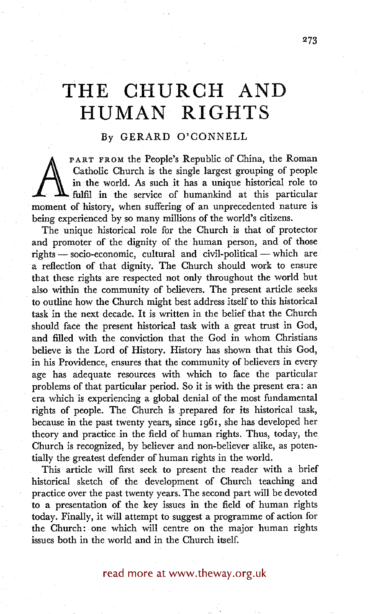## **THE CHURCH AND HUMAN RIGHTS**

## By GERARD O'CONNELL

Catholic Church is the single largest grouping of people<br>in the world. As such it has a unique historical role to<br>fulfil in the service of humankind at this particular<br>moment of history, when suffering of an unprecedented PART FROM the People's Republic of China, the Roman Catholic Church is the single largest grouping of people in the world. As such it has a unique historical role to fulfil in the service of humankind at this particular being experienced by so many millions of the world's citizens.

The unique historical role for the Church is that of protector and promoter of the dignity of the human person, and of those  $rights$ - socio-economic, cultural and civil-political - which are a reflection of that dignity. The Church should work to ensure that these rights are respected not only throughout the world but also within the community of believers. The present article seeks to outline how the Church might best address itself to this historical task in the next decade. It is written in the belief that the Church should face the present historical task with a great trust in God, and filled with the conviction that the God in whom Christians believe is the Lord of History. History has shown that this God, in his Providence, ensures that the community of believers in every age has adequate resources with which to face the particular problems of that particular period. So it is with the present era: an era which is experiencing a global denial of the most fundamental rights of people. The Church is prepared for its historical task, because in the past twenty years, since I961 , she has developed her theory and practice in the field of human rights. Thus, today, the Church is recognized, by believer and non-believer alike, as potentially the greatest defender of human rights in the world.

This article will first seek to present the reader with a brief historical sketch of the development of Church teaching and practice over the past twenty years. The second part will be devoted to a presentation of the key issues in the field of human rights today. Finally, it will attempt to suggest a programme of action for the Church: one which will centre on the major human rights issues both in the world and in the Church itself.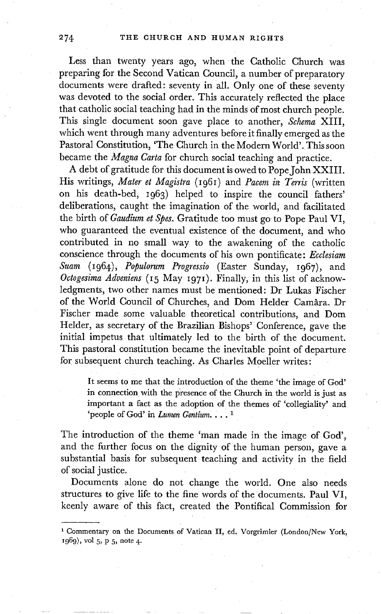Less than twenty years ago, when the Catholic Church was preparing for the Second Vatican Council, a number of preparatory documents were drafted: seventy in all. Only one of these seventy was devoted to the social order. This accurately reflected the place that catholic social teaching had in the minds of most church people. This single document soon gave place to another, *Schema* XIII, which went through many adventures before it finally emerged as the Pastoral Constitution, 'The Church in the Modern World'. This soon became the *Magna Carta* for church social teaching and practice.

A debt of gratitude for this document is owed to Pope John XXIII. His writings, *Mater et Magistra* (1961) and *Pacem in Terris* (written on his death-bed, 1963) helped to inspire the council fathers' deliberations, caught the imagination of the world, and facilitated the birth of *Gaudium et Spes.* Gratitude too must go to Pope Paul VI, who guaranteed the eventual existence of the document, and who contributed in no small way to the awakening of the catholic conscience through the documents of his own pontificate: *Ecclesiam Suam* (I964) , *Populorum Progressio* (Easter Sunday, I967) , and *Octogesima Adveniens* (15 May 197I ). Finally, in this list of acknowledgments, two other names must be mentioned: Dr Lukas Fischer of the World Council of Churches, and Dom Helder Camara. Dr Fischer made some valuable theoretical contributions, and Dom Helder, as secretary of the Brazilian Bishops'Conference, gave the initial impetus that ultimately led to the birth of the document. This pastoral constitution became the inevitable point of departure for subsequent church teaching. As Charles Moeller writes:

It seems to me that the introduction of the theme 'the image of God' in connection with the presence of the Church in the world is just as important a fact as the adoption of the themes of 'collegiality' and 'people of God' in *Lumen Gentiura.... 1* 

The introduction of the theme 'man made in the image of God', and the further focus on the dignity of the human person, gave a substantial basis for subsequent teaching and activity in the field of social justice.

Documents alone do not change the world. One also needs structures to give life to the fine words of the documents. Paul VI, keenly aware of this fact, created the Pontifical Commission for

<sup>&</sup>lt;sup>1</sup> Commentary on the Documents of Vatican II, ed. Vorgrimler (London/New York,  $1969$ , vol 5, p 5, note 4.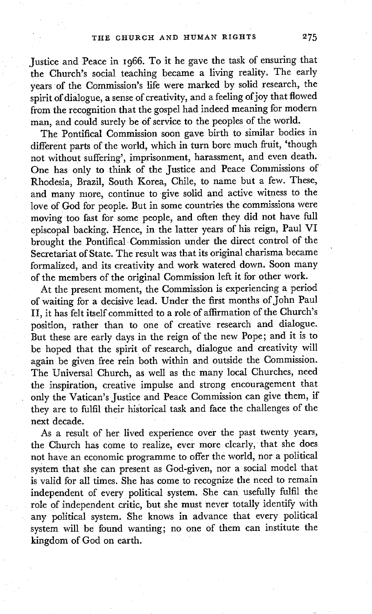Justice and Peace in 1966. To it he gave the task of ensuring that the Church's social teaching became a living reality. The early years of the Commission's life were marked by solid research, the spirit of dialogue, a sense of creativity, and a feeling of joy that flowed from the recognition that the gospel had indeed meaning for modern man, and could surely be of service to the peoples of the world.

The Pontifical Commission soon gave birth to similar bodies in different parts of the world, which in turn bore much fruit, 'though not without suffering', imprisonment, harassment, and even death. One has only to think of the Justice and Peace Commissions of Rhodesia, Brazil, South Korea, Chile, to name but a few. These, and many more, continue to give solid and active witness to the love of God for people. But in some countries the commissions were moving too fast for some people, and often they did not have full episcopal backing. Hence, in the latter years of his reign, Paul VI brought the Pontifical Commission under the direct control of the Secretariat of State. The result was that its original charisma became formalized, and its creativity and work watered down. Soon many of the members of the original Commission left it for other work.

At the present moment, the Commission is experiencing a period of waiting for a decisive lead. Under the first months of John Paul II, it has felt itself committed to a role of affirmation of the Church's position, rather than to one of creative research and dialogue. But these are early days in the reign of the new Pope; and it is to be hoped that the spirit of research, dialogue and creativity will again be given free rein both within and outside the Commission. The Universal Church, as well as the many local Churches, need the inspiration, creative impulse and strong encouragement that only the Vatican's Justice and Peace Commission can give them, if they are to fulfil their historical task and face the challenges of the next decade.

As a result of her lived experience over the past twenty years, the Church has come to realize, ever more clearly, that she does not have an economic programme to offer the world, nor a political system that she can present as God-given, nor a social model that is valid for all times. She has come to recognize the need to remain independent of every political system. She can usefully fulfil the role of independent critic, but she must never totally identify with any political system. She knows in advance that every political system will be found wanting; no one of them can institute the kingdom of God on earth.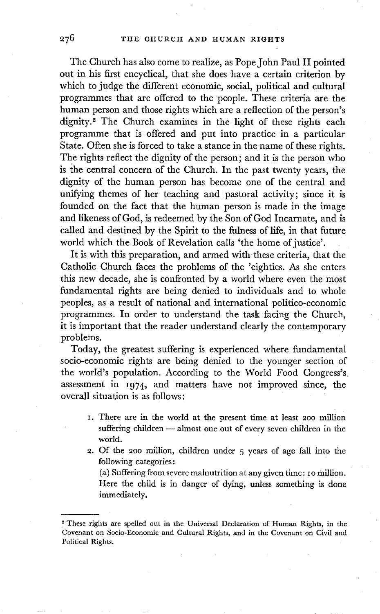The Church has also come to realize, as Pope John Paul II pointed out in his first encyclical, that she does have a certain criterion by which to judge the different economic, social, political and cultural programmes that are offered to the people. These criteria are the human person and those rights which are a reflection of the person's dignity.<sup>2</sup> The Church examines in the light of these rights each programme that is offered and put into practice in a particular State. Often she is forced to take a stance in the name of these rights. The rights reflect the dignity of the person; and it is the person who is the central concern of the Church. In the past twenty years, the dignity of the human person has become one of the central and unifying themes of her teaching and pastoral activity; since it is founded on the fact that the human person is made in the image and likeness of God, is redeemed by the Son of God Incarnate, and is called and destined by the Spirit to the fulness of life, in that future world which the Book of Revelation calls 'the home of justice'.

It is with this preparation, and armed with these criteria, that the Catholic Church faces the problems of the 'eighties. As she enters this new decade, she is confronted by a world where even the most fundamental rights are being denied to individuals and to whole peoples, as a result of national and international politico-economic programmes. In order to understand the task facing the Church, it is important that the reader understand clearly the contemporary problems.

Today, the greatest suffering is experienced where fundamental socio-economic rights are being denied to the younger section of the world's population. According to the World Food Congress's assessment in i974, and matters have not improved since, the overall situation is as follows:

- I. There are in the world at the present time at least 2oo million suffering children -- almost one out of every seven children in the world.
- 2. Of the 200 million, children under 5 years of age fall into the following categories:

(a) Suffering from severe malnutrition at any given time: I o million. Here the child is in danger of dying, unless something is done immediately.

<sup>2</sup> These rights are spelled out in the Universal Declaration of Human Rights, in the Covenant on Soclo-Economlc and Cultural Rights, and in the Covenant on Civil and Political Rights.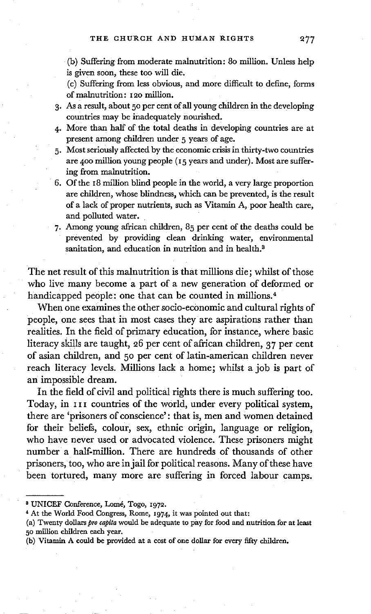(b) Suffering from moderate malnutrition: 80 million. Unless help is given soon, these too will die.

(c) Suffering from less obvious, and more difficult to define, forms of malnutrition: 120 million.

- 3. As a result, about 50 per cent of all young children in the developing countries may be inadequately nourished.
- 4. More than half of the total deaths in developing countries are at present among children under 5 years of age.
- 5. Most seriously affected by the economic crisis in thirty-two countries are 4o0 million young people (I5 years and under). Most are suffering from malnutrition.
- 6. Of the 18 million blind people in the world, a very large proportion are children, whose blindness, which can be prevented, is the result of a lack of proper nutrients, such as Vitamin A, poor health care, and polluted water.
- 7. Among young african children, 85 per cent of the deaths could be prevented by providing clean drinking water, environmental sanitation, and education in nutrition and in health.<sup>3</sup>

The net result of this malnutrition is that millions die; whilst of those who live many become a part of a new generation of deformed or handicapped people: one that can be counted in millions.<sup>4</sup>

When one examines the other socio-economic and cultural rights of people, one sees that in most cases they are aspirations rather than realities. In the field of primary education, for instance, where basic literacy skills are taught, 26 per cent of african children, 37 per cent of asian children, and 50 per cent of latin-american children never reach literacy levels. Millions lack a home; whilst a job is part of an impossible dream.

In the field of civil and political rights there is much suffering too. Today, in III countries of the world, under every political system, there are 'prisoners of conscience': that is, men and women detained for their beliefs, colour, sex, ethnic origin, language or religion, who have never used or advocated violence. These prisoners might number a half-million. There are hundreds of thousands of other prisoners, too, who are in jail for political reasons. Many of these have been tortured, many more are suffering in forced labour camps.

<sup>&</sup>lt;sup>8</sup> UNICEF Conference, Lomé, Togo, 1972.

<sup>&</sup>lt;sup>4</sup> At the World Food Congress, Rome, 1974, it was pointed out that:

<sup>(</sup>a) Twenty dollars *pro capita* would be adequate to pay for food and nutrition for at least 50 million children each year.

<sup>(</sup>b) Vitamin A could be provided at a cost of one dollar for every fifty children,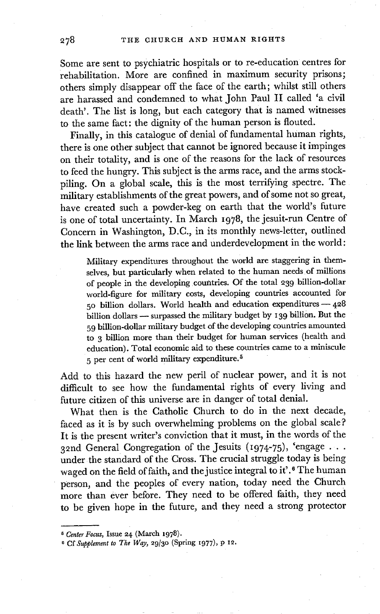Some are sent to psychiatric hospitals or to re-education centres for rehabilitation. More are confined in maximum security prisons; others simply disappear off the face of the earth; whilst still others are harassed and condemned to what John Paul II called 'a civil death'. The list is long, but each category that is named witnesses to the same fact: the dignity of the human person is flouted.

Finally, in this catalogue of denial of fundamental human rights, there is one other subject that cannot be ignored because it impinges on their totality, and is one of the reasons for the lack of resources to feed the hungry. This subject is the arms race, and the arms stockpiling. On a global scale, this is the most terrifying spectre. The military establishments of the great powers, and of some not so great, have created such a powder-keg on earth that the world's future is one of total uncertainty. In March I978 , the jesuit-run Centre of Concern in Washington, D.C., in its monthly news-letter, outlined the link between the arms race and underdevelopment in the world:

Military expenditures throughout the world are staggering in themselves, but particularly when related to the human needs of millions of people in the developing countries. Of the total 239 billion-dollar world-figure for military costs, developing countries accounted for  $50$  billion dollars. World health and education expenditures  $-428$ billion dollars -- surpassed the military budget by 139 billion. But the 59 billion-dollar military budget of the developing countries amounted to 3 billion more than their budget for human services (health and education). Total economic aid to these countries came to a miniscule  $5$  per cent of world military expenditure.<sup>5</sup>

Add to this hazard the new peril of nuclear power, and it is not difficult to see how the fundamental rights of every living and future citizen of this universe are in danger of total denial.

What then is the Catholic Church to do in the next decade, faced as it is by such overwhelming problems on the global scale? It is the present writer's conviction that it must, in the words of the 32nd General Congregation of the Jesuits (1974-75), 'engage . . . under the standard of the Cross. The crucial struggle today is being waged on the field of faith, and the justice integral to it'.<sup>6</sup> The human person, and the peoples of every nation, today need the Church more than ever before. They need to be offered faith, they need to be given hope in the future, and they need a strong protector

*n Center Focus,* Issue 24 (March 1978).

<sup>&</sup>lt;sup>6</sup> Cf Supplement to The Way, 29/30 (Spring 1977), p 12.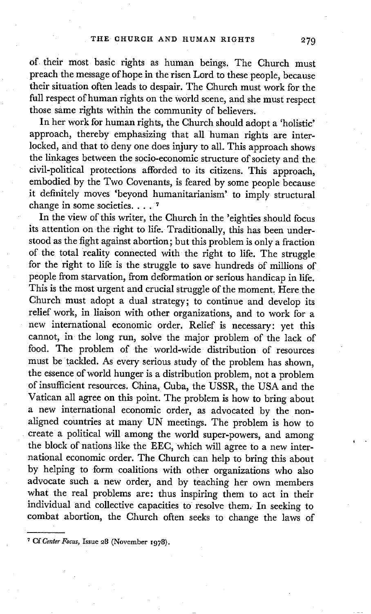of their most basic rights as human beings. The Church must preach the message of hope in the risen Lord to these people, because their situation often leads to despair. The Church must work for the full respect of human rights on the world scene, and she must respect those same rights within the community of believers.

In her work for human rights, the Church should adopt a 'holistic' approach, thereby emphasizing that all human rights are interlocked, and that to deny one does injury to all. This approach shows the linkages between the socio-economic structure of society and the civil-political protections afforded to its citizens. This approach, embodied by the Two Covenants, is feared by some people because it definitely moves 'beyond humanitarianism' to imply structural change in some societies .... **<sup>7</sup>**

In the view of this writer, the Church in the 'eighties should focus its attention on the right to life. Traditionally, this has been understood as the fight against abortion; but this problem is only a fraction of the total reality connected with the right to life. The struggle for the right to life is the struggle to save hundreds of millions of people from starvation, from deformation or serious handicap in life. This is the most urgent and crucial struggle of the moment. Here the Church must adopt a dual strategy; to continue and develop its relief work, in liaison with other organizations, and to work for a new international economic order. Relief is necessary: yet this cannot, in the long run, solve the major problem of the lack of food. The problem of the world-wide distribution of resources must be tackled. As every serious study of the problem has shown, the essence of world hunger is a distribution problem, not a problem of insufficient resources. China, Cuba, the USSR, the USA and the Vatican all agree on this point. The problem is how to bring about a new international economic order, as advocated by the nonaligned countries at many UN meetings. The problem is how to create a political will among the world super-powers, and among the block of nations like the EEC, which will agree to a new international economic order. The Church can hetp to bring this about by helping to form coalitions with other organizations who also advocate such a new order, and by teaching her own members what the real problems are: thus inspiring them to act in their individual and collective capacities to resolve them. In seeking to combat abortion, the Church often seeks to change the laws of

<sup>&</sup>lt;sup>7</sup> Cf Center Focus, Issue 28 (November 1978).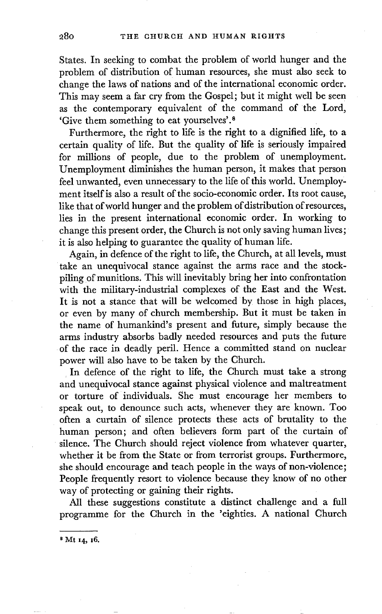States. In seeking to combat the problem of world hunger and the problem of distribution of human resources, she must also seek to change the laws of nations and of the international economic order. This may seem a far cry from the Gospel; but it might well be seen as the contemporary equivalent of the command of the Lord, 'Give them something to eat yourselves'.<sup>8</sup>

Furthermore, the right to life is the right to a dignified life, to a certain quality of life. But the quality of life is seriously impaired for millions of people, due to the problem of unemployment. Unemployment diminishes the human person, it makes that person feel unwanted, even unnecessary to the life of this world. Unemploy: ment itself is also a result of the socio-economic order. Its root cause, like that of world hunger and the problem of distribution of resources, lies in the present international economic order. In working to change this present order, the Church is not only saving human lives; it is also helping to guarantee the quality of human life.

Again, in defence of the right to life, the Church, at all levels, must take an unequivocal stance against the arms race and the stockpiling of munitions. This will inevitably bring her into confrontation with the military-industrial complexes of the East and the West. It is not a stance that will be welcomed by those in high places, or even by many of church membership. But it must be taken in the name of humankind's present and future, simply because the arms industry absorbs badly needed resources and puts the future of the race in deadly peril. Hence a committed stand on nuclear power will also have to be taken by the Church.

In defence of the right to life, the Church must take a strong and unequivocal stance against physical violence and maltreatment or torture of individuals. She must encourage her members to speak out, to denounce such acts, whenever they are known. Too often a curtain of silence protects these acts of brutality to the human person; and often believers form part of the curtain of silence. The Church should reject violence from whatever quarter, whether it be from the State or from terrorist groups. Furthermore, she should encourage and teach people in the ways of non-violence; People frequently resort to violence because they know of no other way of protecting or gaining their rights.

All these suggestions constitute a distinct challenge and a full programme for the Church in the 'eighties. A national Church

**s Mt x4, I6.**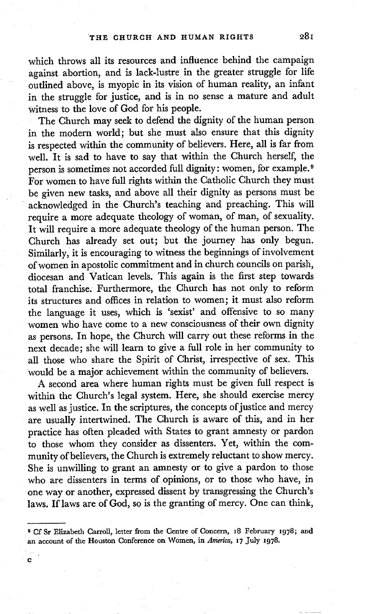which throws all its resources and influence behind the campaign against abortion, and is lack-lustre in the greater struggle for life outlined above, is myopic in its vision of human reality, an infant in the struggle for justice, and is in no sense a mature and adult witness to the love of God for his people.

The Church may seek to defend the dignity of the human person in the modern world; but she must also ensure that this dignity is respected within the community of believers. Here, all is far from well. It is sad to have to say that within the Church herself, the person is sometimes not accorded full dignity: women, for example. 9 For women to have full rights within the Catholic Church they must be given new tasks, and above all their dignity as persons must be acknowledged in the Church's teaching and preaching. This will require a more adequate theology of woman, of man, of sexuality. It will require a more adequate theology of the human person. The Church has already set out; but the journey has only begun. Similarly, it is encouraging to witness the beginnings of involvement of women in apostolic commitment and in church councils on parish, diocesan and Vatican levels. This again is the first step towards total franchise. Furthermore, the Church has not only to reform its structures and offices in relation to women; it must also reform the language it uses, which is 'sexist' and offensive to so many women who have come to a new consciousness of their own dignity as persons. In hope, the Church will carry out these reforms in the next decade; she will learn to give a full role in her community to all those who share the Spirit of Christ, irrespective of sex. This Would be a major achievement within the community of believers.

A second area where human rights must be given full respect is within the Church's legal system. Here, she should exercise mercy as well as justice. In the scriptures, the concepts of justice and mercy are usually intertwined. The Church is aware of this, and in her practice has often pleaded with States to grant amnesty or pardon to those whom they consider as dissenters. Yet, within the community of believers, the Church is extremely reluctant to show mercy. She is unwilling to grant an amnesty or to give a pardon to those who are dissenters in terms of opinions, or to those who have, in one way or another, expressed dissent by transgressing the Church's laws. If laws are of God, so is the granting of mercy. One can think,

<sup>&</sup>lt;sup>9</sup> Cf Sr Elizabeth Carroll, letter from the Centre of Concern, 18 February 1978; and an account of the Houston Conference on Women, in *America,* I7 July x978.